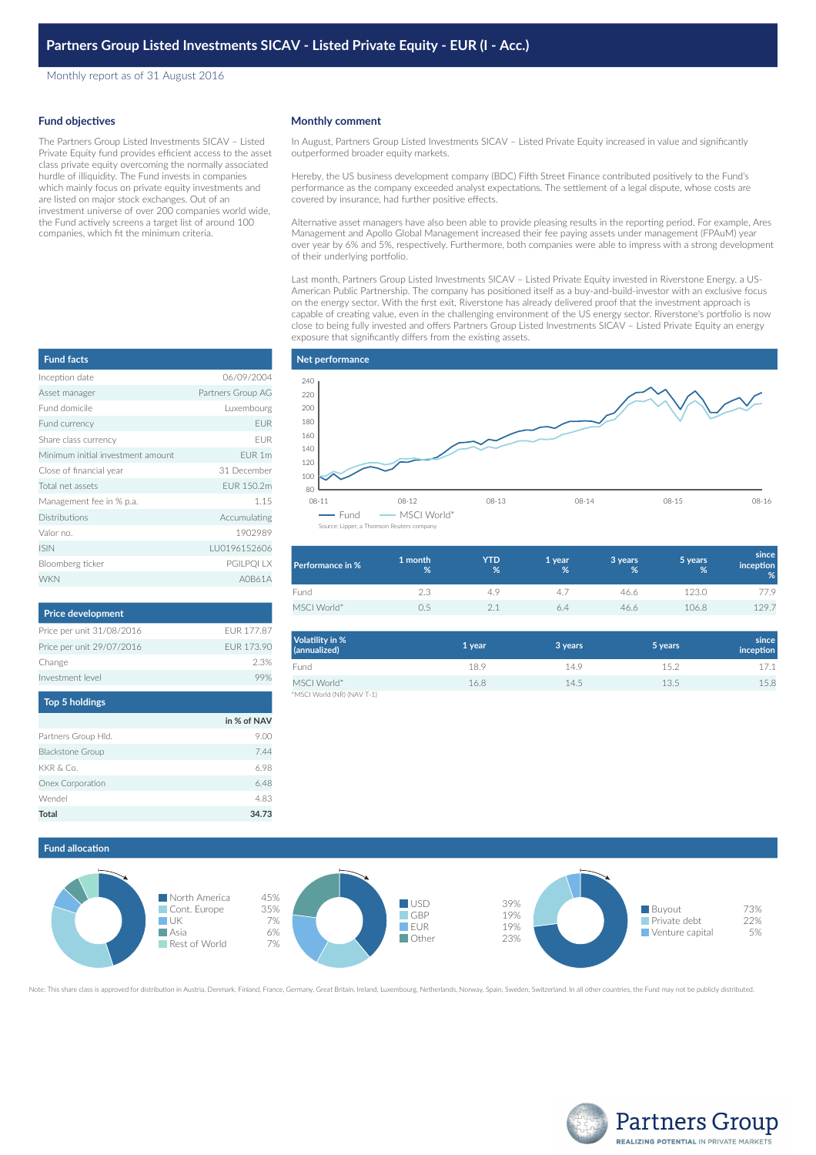Monthly report as of 31 August 2016

#### **Fund objectives**

The Partners Group Listed Investments SICAV – Listed Private Equity fund provides efficient access to the asset class private equity overcoming the normally associated hurdle of illiquidity. The Fund invests in companies which mainly focus on private equity investments and are listed on major stock exchanges. Out of an investment universe of over 200 companies world wide, the Fund actively screens a target list of around 100 companies, which fit the minimum criteria.

#### **Monthly comment**

In August, Partners Group Listed Investments SICAV – Listed Private Equity increased in value and significantly outperformed broader equity markets.

Hereby, the US business development company (BDC) Fifth Street Finance contributed positively to the Fund's performance as the company exceeded analyst expectations. The settlement of a legal dispute, whose costs are covered by insurance, had further positive effects.

Alternative asset managers have also been able to provide pleasing results in the reporting period. For example, Ares Management and Apollo Global Management increased their fee paying assets under management (FPAuM) year over year by 6% and 5%, respectively. Furthermore, both companies were able to impress with a strong development of their underlying portfolio.

Last month, Partners Group Listed Investments SICAV – Listed Private Equity invested in Riverstone Energy, a US-American Public Partnership. The company has positioned itself as a buy-and-build-investor with an exclusive focus on the energy sector. With the first exit, Riverstone has already delivered proof that the investment approach is capable of creating value, even in the challenging environment of the US energy sector. Riverstone's portfolio is now close to being fully invested and offers Partners Group Listed Investments SICAV – Listed Private Equity an energy exposure that significantly differs from the existing assets.

| <b>Fund facts</b>                 |                   |
|-----------------------------------|-------------------|
| Inception date                    | 06/09/2004        |
| Asset manager                     | Partners Group AG |
| Fund domicile                     | Luxembourg        |
| Fund currency                     | <b>EUR</b>        |
| Share class currency              | <b>FUR</b>        |
| Minimum initial investment amount | FUR <sub>1m</sub> |
| Close of financial year           | 31 December       |
| Total net assets                  | FUR 150.2m        |
| Management fee in % p.a.          | 1.15              |
| <b>Distributions</b>              | Accumulating      |
| Valor no.                         | 1902989           |
| <b>ISIN</b>                       | LU0196152606      |
| Bloomberg ticker                  | PGILPQI LX        |
| <b>WKN</b>                        | A0B61A            |

| <b>Price development</b>  |            |
|---------------------------|------------|
| Price per unit 31/08/2016 | FUR 177.87 |
| Price per unit 29/07/2016 | FUR 173.90 |
| Change                    | 2.3%       |
| Investment level          |            |
|                           |            |

| <b>Top 5 holdings</b>   |             |
|-------------------------|-------------|
|                         | in % of NAV |
| Partners Group Hld.     | 9.00        |
| <b>Blackstone Group</b> | 7.44        |
| KKR & Co.               | 6.98        |
| Onex Corporation        | 6.48        |
| Wendel                  | 4.83        |
| Total                   | 34.73       |



| <b>Performance in %</b> | 1 month<br>% | YTD<br>% | '1 year<br>% | 3 years<br>% | 5 years<br>% | since<br>inception<br>% |
|-------------------------|--------------|----------|--------------|--------------|--------------|-------------------------|
| Fund                    | 2.3          | 4.9      | 41           | 46.6         | 123.0        | 77.9                    |
| MSCI World*             | (15          | 2.1      | 6.4          | 46.6         | 106.8        | 129.7                   |

| Volatility in %<br>(annualized) | 1 year | 3 years | 5 years | since<br>inception |
|---------------------------------|--------|---------|---------|--------------------|
| Fund                            | 18.9   | 14.9    | 15.2    | 17.1               |
| MSCI World*                     | 16.8   | 14.5    | 13.5    | 15.8               |
| *MSCI World (NR) (NAV T-1)      |        |         |         |                    |

## **Fund allocation**



Note: This share class is approved for distribution in Austria, Denmark, Finland, France, Germany, Great Britain, Ireland, Luxembourg, Netherlands, Norway, Spain, Sweden, Switzerland. In all other countries, the Fund may n